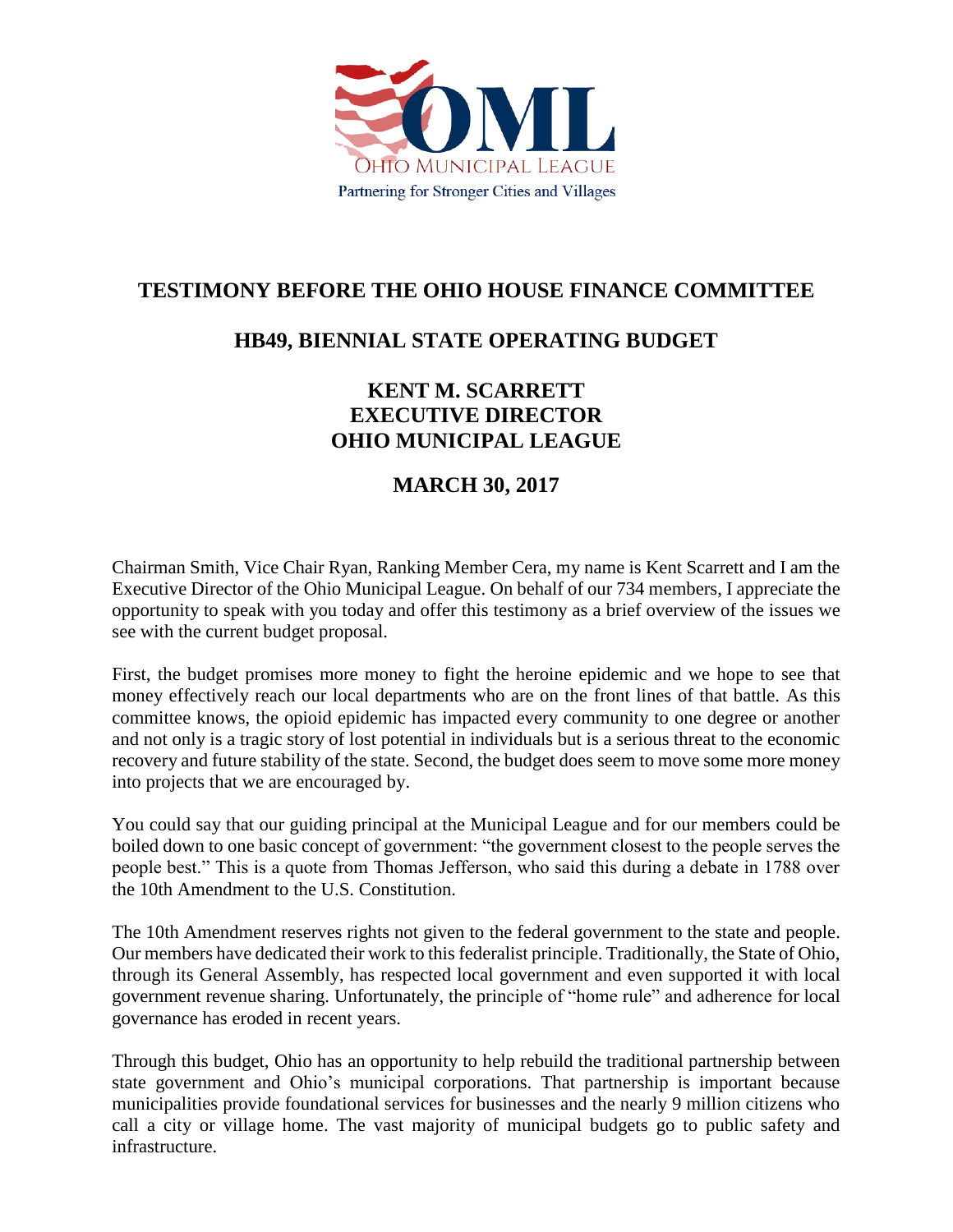

## **TESTIMONY BEFORE THE OHIO HOUSE FINANCE COMMITTEE**

## **HB49, BIENNIAL STATE OPERATING BUDGET**

## **KENT M. SCARRETT EXECUTIVE DIRECTOR OHIO MUNICIPAL LEAGUE**

## **MARCH 30, 2017**

Chairman Smith, Vice Chair Ryan, Ranking Member Cera, my name is Kent Scarrett and I am the Executive Director of the Ohio Municipal League. On behalf of our 734 members, I appreciate the opportunity to speak with you today and offer this testimony as a brief overview of the issues we see with the current budget proposal.

First, the budget promises more money to fight the heroine epidemic and we hope to see that money effectively reach our local departments who are on the front lines of that battle. As this committee knows, the opioid epidemic has impacted every community to one degree or another and not only is a tragic story of lost potential in individuals but is a serious threat to the economic recovery and future stability of the state. Second, the budget does seem to move some more money into projects that we are encouraged by.

You could say that our guiding principal at the Municipal League and for our members could be boiled down to one basic concept of government: "the government closest to the people serves the people best." This is a quote from Thomas Jefferson, who said this during a debate in 1788 over the 10th Amendment to the U.S. Constitution.

The 10th Amendment reserves rights not given to the federal government to the state and people. Our members have dedicated their work to this federalist principle. Traditionally, the State of Ohio, through its General Assembly, has respected local government and even supported it with local government revenue sharing. Unfortunately, the principle of "home rule" and adherence for local governance has eroded in recent years.

Through this budget, Ohio has an opportunity to help rebuild the traditional partnership between state government and Ohio's municipal corporations. That partnership is important because municipalities provide foundational services for businesses and the nearly 9 million citizens who call a city or village home. The vast majority of municipal budgets go to public safety and infrastructure.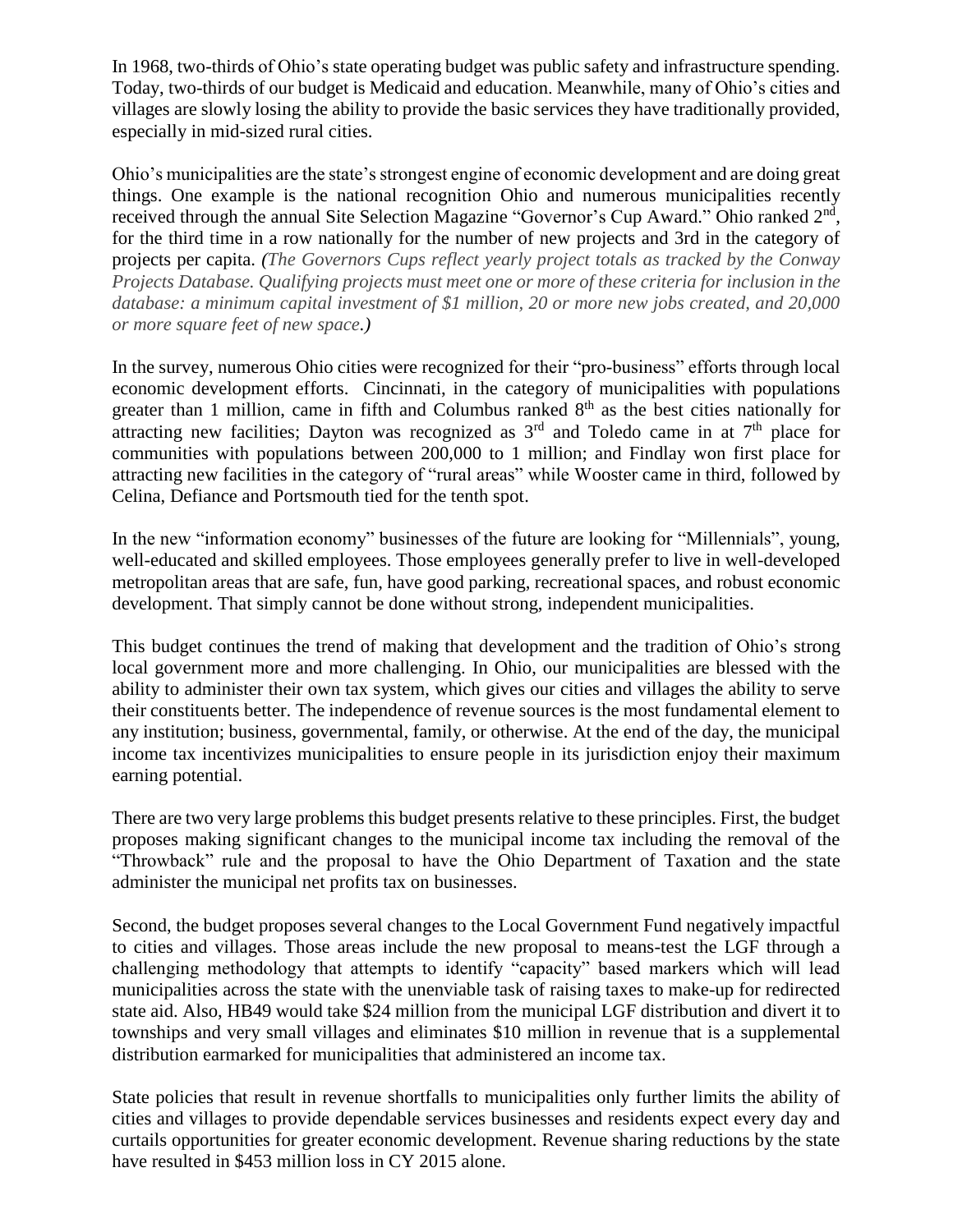In 1968, two-thirds of Ohio's state operating budget was public safety and infrastructure spending. Today, two-thirds of our budget is Medicaid and education. Meanwhile, many of Ohio's cities and villages are slowly losing the ability to provide the basic services they have traditionally provided, especially in mid-sized rural cities.

Ohio's municipalities are the state's strongest engine of economic development and are doing great things. One example is the national recognition Ohio and numerous municipalities recently received through the annual Site Selection Magazine "Governor's Cup Award." Ohio ranked 2<sup>nd</sup>, for the third time in a row nationally for the number of new projects and 3rd in the category of projects per capita. *(The Governors Cups reflect yearly project totals as tracked by the Conway Projects Database. Qualifying projects must meet one or more of these criteria for inclusion in the database: a minimum capital investment of \$1 million, 20 or more new jobs created, and 20,000 or more square feet of new space.)*

In the survey, numerous Ohio cities were recognized for their "pro-business" efforts through local economic development efforts. Cincinnati, in the category of municipalities with populations greater than 1 million, came in fifth and Columbus ranked  $8<sup>th</sup>$  as the best cities nationally for attracting new facilities; Dayton was recognized as  $3<sup>rd</sup>$  and Toledo came in at  $7<sup>th</sup>$  place for communities with populations between 200,000 to 1 million; and Findlay won first place for attracting new facilities in the category of "rural areas" while Wooster came in third, followed by Celina, Defiance and Portsmouth tied for the tenth spot.

In the new "information economy" businesses of the future are looking for "Millennials", young, well-educated and skilled employees. Those employees generally prefer to live in well-developed metropolitan areas that are safe, fun, have good parking, recreational spaces, and robust economic development. That simply cannot be done without strong, independent municipalities.

This budget continues the trend of making that development and the tradition of Ohio's strong local government more and more challenging. In Ohio, our municipalities are blessed with the ability to administer their own tax system, which gives our cities and villages the ability to serve their constituents better. The independence of revenue sources is the most fundamental element to any institution; business, governmental, family, or otherwise. At the end of the day, the municipal income tax incentivizes municipalities to ensure people in its jurisdiction enjoy their maximum earning potential.

There are two very large problems this budget presents relative to these principles. First, the budget proposes making significant changes to the municipal income tax including the removal of the "Throwback" rule and the proposal to have the Ohio Department of Taxation and the state administer the municipal net profits tax on businesses.

Second, the budget proposes several changes to the Local Government Fund negatively impactful to cities and villages. Those areas include the new proposal to means-test the LGF through a challenging methodology that attempts to identify "capacity" based markers which will lead municipalities across the state with the unenviable task of raising taxes to make-up for redirected state aid. Also, HB49 would take \$24 million from the municipal LGF distribution and divert it to townships and very small villages and eliminates \$10 million in revenue that is a supplemental distribution earmarked for municipalities that administered an income tax.

State policies that result in revenue shortfalls to municipalities only further limits the ability of cities and villages to provide dependable services businesses and residents expect every day and curtails opportunities for greater economic development. Revenue sharing reductions by the state have resulted in \$453 million loss in CY 2015 alone.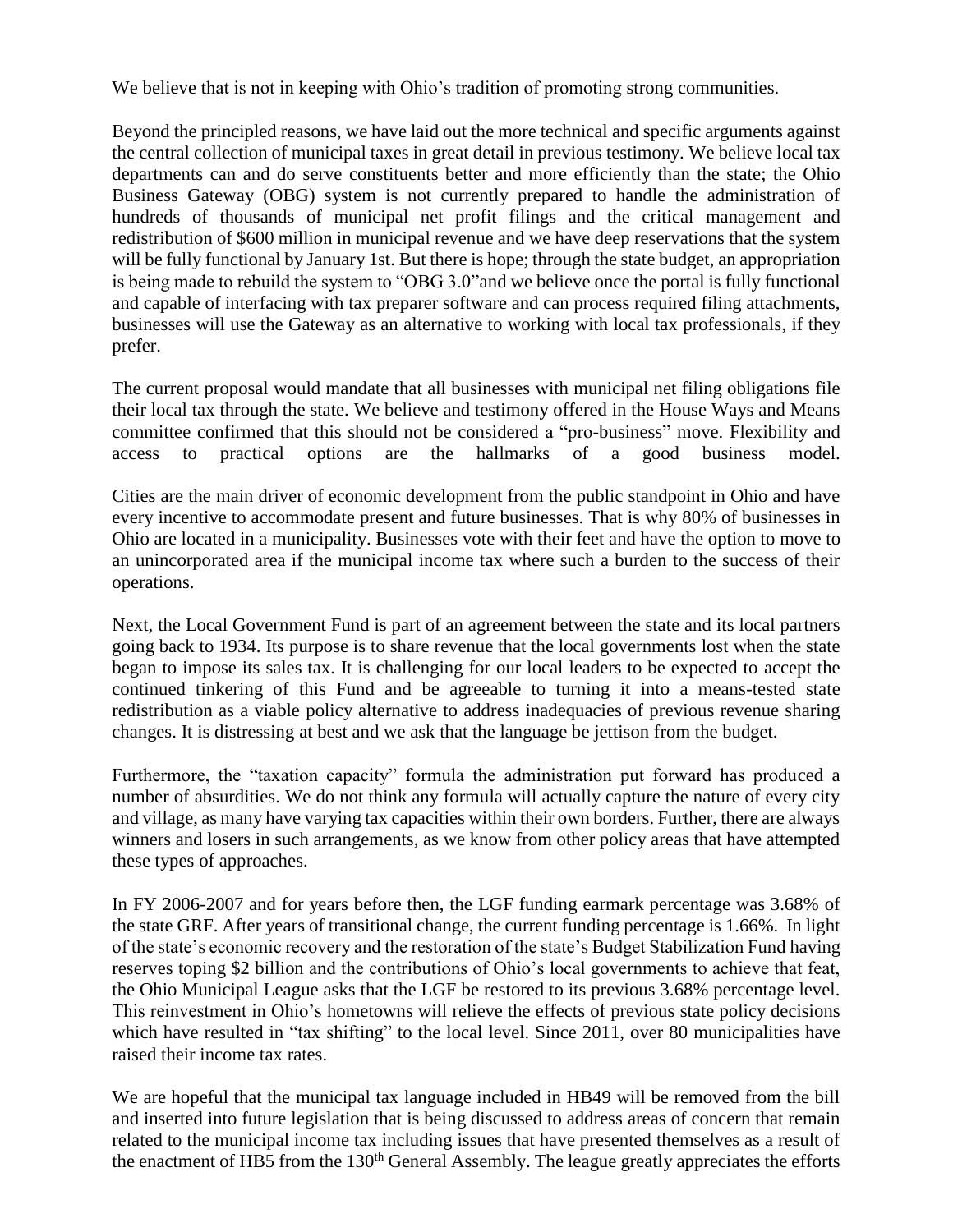We believe that is not in keeping with Ohio's tradition of promoting strong communities.

Beyond the principled reasons, we have laid out the more technical and specific arguments against the central collection of municipal taxes in great detail in previous testimony. We believe local tax departments can and do serve constituents better and more efficiently than the state; the Ohio Business Gateway (OBG) system is not currently prepared to handle the administration of hundreds of thousands of municipal net profit filings and the critical management and redistribution of \$600 million in municipal revenue and we have deep reservations that the system will be fully functional by January 1st. But there is hope; through the state budget, an appropriation is being made to rebuild the system to "OBG 3.0"and we believe once the portal is fully functional and capable of interfacing with tax preparer software and can process required filing attachments, businesses will use the Gateway as an alternative to working with local tax professionals, if they prefer.

The current proposal would mandate that all businesses with municipal net filing obligations file their local tax through the state. We believe and testimony offered in the House Ways and Means committee confirmed that this should not be considered a "pro-business" move. Flexibility and access to practical options are the hallmarks of a good business model.

Cities are the main driver of economic development from the public standpoint in Ohio and have every incentive to accommodate present and future businesses. That is why 80% of businesses in Ohio are located in a municipality. Businesses vote with their feet and have the option to move to an unincorporated area if the municipal income tax where such a burden to the success of their operations.

Next, the Local Government Fund is part of an agreement between the state and its local partners going back to 1934. Its purpose is to share revenue that the local governments lost when the state began to impose its sales tax. It is challenging for our local leaders to be expected to accept the continued tinkering of this Fund and be agreeable to turning it into a means-tested state redistribution as a viable policy alternative to address inadequacies of previous revenue sharing changes. It is distressing at best and we ask that the language be jettison from the budget.

Furthermore, the "taxation capacity" formula the administration put forward has produced a number of absurdities. We do not think any formula will actually capture the nature of every city and village, as many have varying tax capacities within their own borders. Further, there are always winners and losers in such arrangements, as we know from other policy areas that have attempted these types of approaches.

In FY 2006-2007 and for years before then, the LGF funding earmark percentage was 3.68% of the state GRF. After years of transitional change, the current funding percentage is 1.66%. In light of the state's economic recovery and the restoration of the state's Budget Stabilization Fund having reserves toping \$2 billion and the contributions of Ohio's local governments to achieve that feat, the Ohio Municipal League asks that the LGF be restored to its previous 3.68% percentage level. This reinvestment in Ohio's hometowns will relieve the effects of previous state policy decisions which have resulted in "tax shifting" to the local level. Since 2011, over 80 municipalities have raised their income tax rates.

We are hopeful that the municipal tax language included in HB49 will be removed from the bill and inserted into future legislation that is being discussed to address areas of concern that remain related to the municipal income tax including issues that have presented themselves as a result of the enactment of HB5 from the 130<sup>th</sup> General Assembly. The league greatly appreciates the efforts